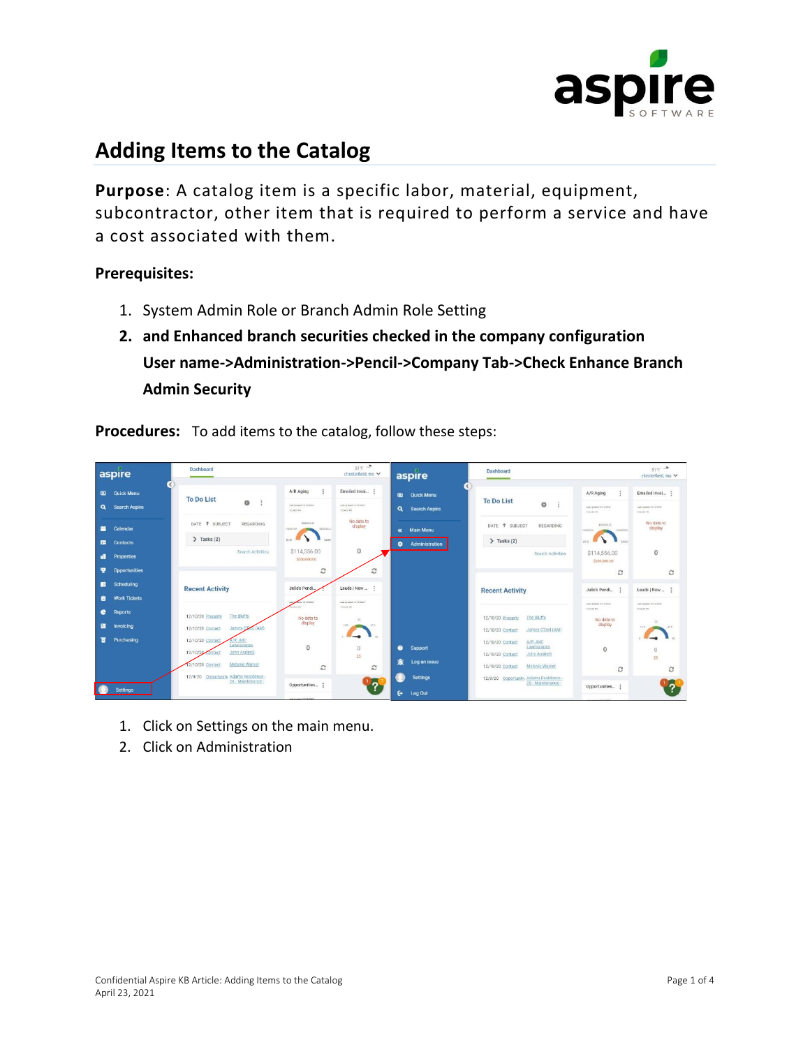

## **Adding Items to the Catalog**

**Purpose**: A catalog item is a specific labor, material, equipment, subcontractor, other item that is required to perform a service and have a cost associated with them.

## **Prerequisites:**

- 1. System Admin Role or Branch Admin Role Setting
- **2. and Enhanced branch securities checked in the company configuration User name->Administration->Pencil->Company Tab->Check Enhance Branch Admin Security**

**Procedures:** To add items to the catalog, follow these steps:

| aspire                                              | <b>Dashboard</b>                                                          | $514 = 2$<br>chesterfield, mo ↓                                                                                   | aspire                                              | Dashboard                                                                     |                                                                      | $51^{\circ}$ F $\rightarrow$<br>chesterfield, mo ↓             |
|-----------------------------------------------------|---------------------------------------------------------------------------|-------------------------------------------------------------------------------------------------------------------|-----------------------------------------------------|-------------------------------------------------------------------------------|----------------------------------------------------------------------|----------------------------------------------------------------|
| <b>Q</b> Quick Menu<br><b>Search Aspire</b><br>Q    | $\epsilon$<br><b>To Do List</b><br>$\circ$<br>$\ddot{z}$                  | A/R Aging<br>Emailed Invoi<br>Last signature harmships.<br>Lairigeata 11/14/2020<br>122430741<br><b>TROUGHDRE</b> | <b>Quick Menu</b><br><b>Q</b> Search Aspire         | <b>To Do List</b><br>$\circ$                                                  | A/R Aging<br>÷<br>Leet Louisier 12/12/2022<br><b>FOLLABETIN</b>      | Emailed Invol<br>Lest Leases 13/10/2020<br><b>MARKEY</b>       |
| Calendar<br>≃<br><b>Contacts</b><br>田               | DATE <sup>+</sup> SUBJECT<br>REGARDING<br>$\sum$ Tasks (2)                | No data to<br>0030000.00<br>display<br>890000.0<br>100005-00<br>hann'<br>sales?                                   | <b>Main Menu</b><br>$\alpha$<br>Administration<br>۰ | DATE <sup>+</sup> SUBJECT<br>REGARDING<br>$\sum$ Tasks (2)                    | keepers on<br>\$200000.0<br>10000031<br>$\blacksquare$<br>sator      | No data to<br>display                                          |
| <b>Properties</b><br>æ<br><b>Opportunities</b><br>Y | Search Activities                                                         | $\mathbf{0}$<br>\$114,556.00<br>\$200,000.00<br>C<br>с                                                            |                                                     | Search Activities                                                             | \$114,556.00<br>\$200,000.00<br>c                                    | $\mathbf{0}$<br>c                                              |
| Scheduling<br>в<br><b>Work Tickets</b><br>ê         | <b>Recent Activity</b>                                                    | Julie's Pendi<br>Leads   New<br>Lent Linsener 12/13/2020<br>an advertising and                                    |                                                     | <b>Recent Activity</b>                                                        | Julie's Pendi :                                                      | Leads   New                                                    |
| e<br><b>Reports</b><br>Invoicing<br>圕               | The Bluffs<br>12/10/20 Property<br>(AM)<br>James O'D<br>12/10/20 Contact  | 486.00<br><b>TREATED</b><br>No data to<br>$25 -$<br>display<br>(2.5)<br>37.51                                     |                                                     | The Bluffs<br>12/10/20 Property<br>James O'Dell (AM)<br>12/10/20 Contact      | LAKS president for the letters<br>103439 PM<br>No data to<br>display | Laid Lodgham 13218-3000<br>103433 PV<br>$\sim$<br>and .<br>103 |
| Purchasing<br>π                                     | <b>R JMC</b><br>12/10/20 Contact<br>awnscapes<br>12/10/20<br>John AspireS | $\mathbf{0}$<br>$\theta$<br>25                                                                                    | ຸ<br>Support<br>Log an issue                        | A/R JMC<br>12/10/20 Contact<br>Lawnscapes<br>John AspireS<br>12/10/20 Contact | $\mathbf{0}$                                                         | $\mathbf{0}$<br>25 <sub>1</sub>                                |
|                                                     | 12/10/20 Contact<br>Melanie Warner                                        | $\mathbb{C}$<br>c                                                                                                 |                                                     | Melanie Warner<br>12/10/20 Contact                                            | c                                                                    | C                                                              |
| <b>Settings</b>                                     | 12/9/20 Opportunity Adams Residence -<br>26 - Maintenance -               | $\sqrt[12]{2}$<br>Opportunities :<br>and the most of the state density.                                           | <b>Settings</b><br>G.<br>Log Out                    | 12/9/20 Opportunity Adams Residence -<br>26 - Maintenance -                   | Opportunities                                                        |                                                                |

- 1. Click on Settings on the main menu.
- 2. Click on Administration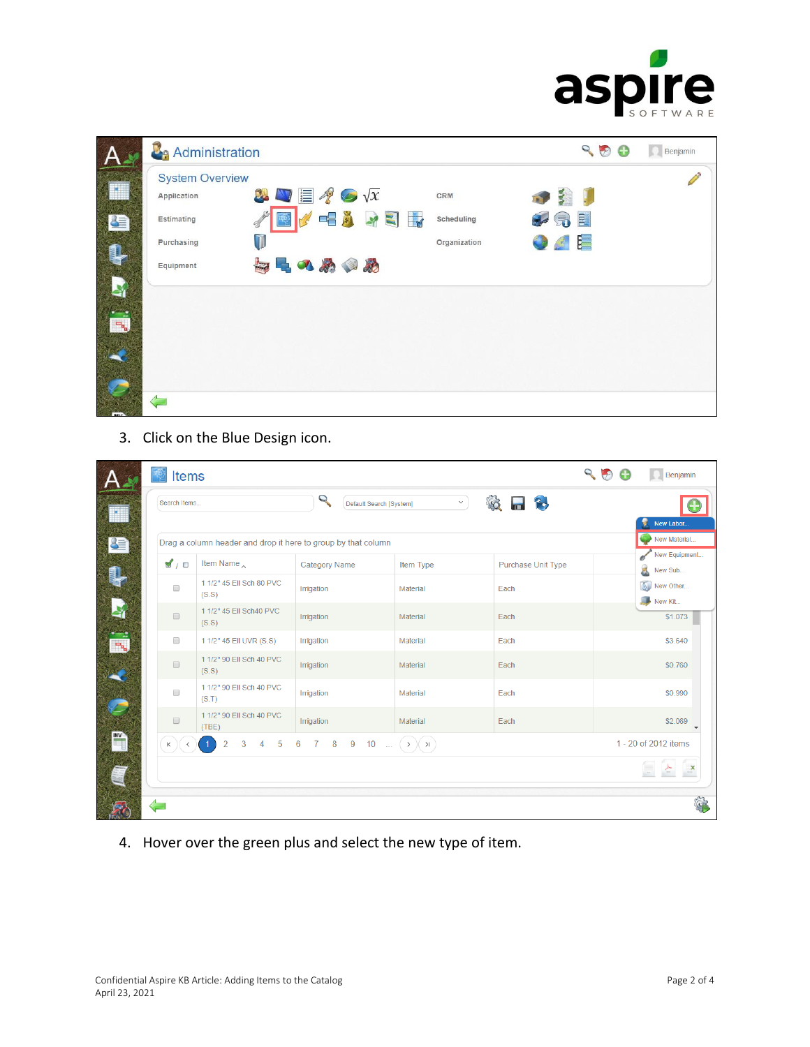

|           | Administration                        |                                                |               |              | 900                   | Benjamin |
|-----------|---------------------------------------|------------------------------------------------|---------------|--------------|-----------------------|----------|
|           | <b>System Overview</b><br>Application | $\mathbf{W} \equiv \mathcal{X} \odot \sqrt{x}$ |               | CRM          | 599                   |          |
| <b>SE</b> | <b>Estimating</b>                     | 醪                                              | <b>VERASH</b> | Scheduling   | <b>Jo RE</b>          |          |
| Ş         | Purchasing                            | $\overline{\mathbf{1}}$                        |               | Organization | $\bullet$ $\bullet$ E |          |
|           | Equipment                             | 与中のめのめ                                         |               |              |                       |          |
|           |                                       |                                                |               |              |                       |          |
| ٣ų        |                                       |                                                |               |              |                       |          |
|           |                                       |                                                |               |              |                       |          |
|           |                                       |                                                |               |              |                       |          |
|           |                                       |                                                |               |              |                       |          |

3. Click on the Blue Design icon.

| Search Items          |                                                               | Q<br>Default Search [System]                     | $\checkmark$          | $\blacksquare$<br>$\mathcal{C}$ | New Labor                |
|-----------------------|---------------------------------------------------------------|--------------------------------------------------|-----------------------|---------------------------------|--------------------------|
|                       | Drag a column header and drop it here to group by that column |                                                  |                       |                                 | New Material             |
| $\mathbf{M}$ / $\Box$ | Item Name                                                     | <b>Category Name</b>                             | Item Type             | Purchase Unit Type              | New Equipment<br>New Sub |
| $\Box$                | 1 1/2" 45 Ell Sch 80 PVC<br>(S.S)                             | Irrigation                                       | <b>Material</b>       | Each                            | New Other<br>New Kit     |
| $\Box$                | 1 1/2" 45 Ell Sch40 PVC<br>(S.S)                              | Irrigation                                       | Material              | Each                            | \$1.073                  |
| $\Box$                | 1 1/2" 45 EII UVR (S.S)                                       | Irrigation                                       | Material              | Each                            | \$3.640                  |
| $\Box$                | 1 1/2" 90 Ell Sch 40 PVC<br>(S.S)                             | Irrigation                                       | Material              | Each                            | \$0.760                  |
| $\Box$                | 1 1/2" 90 Ell Sch 40 PVC<br>(S.T)                             | Irrigation                                       | Material              | Each                            | \$0.990                  |
| $\Box$                | 1 1/2" 90 Ell Sch 40 PVC<br>(THE)                             | Irrigation                                       | Material              | Each                            | \$2.069                  |
| $\lvert \zeta \rvert$ | 3<br>5<br>$\overline{a}$<br>$\overline{4}$                    | $6\phantom{a}$<br>8<br>9<br>$\overline{7}$<br>10 | $(>)$ $( )$<br>$\sim$ |                                 | 1 - 20 of 2012 items     |
|                       |                                                               |                                                  |                       |                                 |                          |

4. Hover over the green plus and select the new type of item.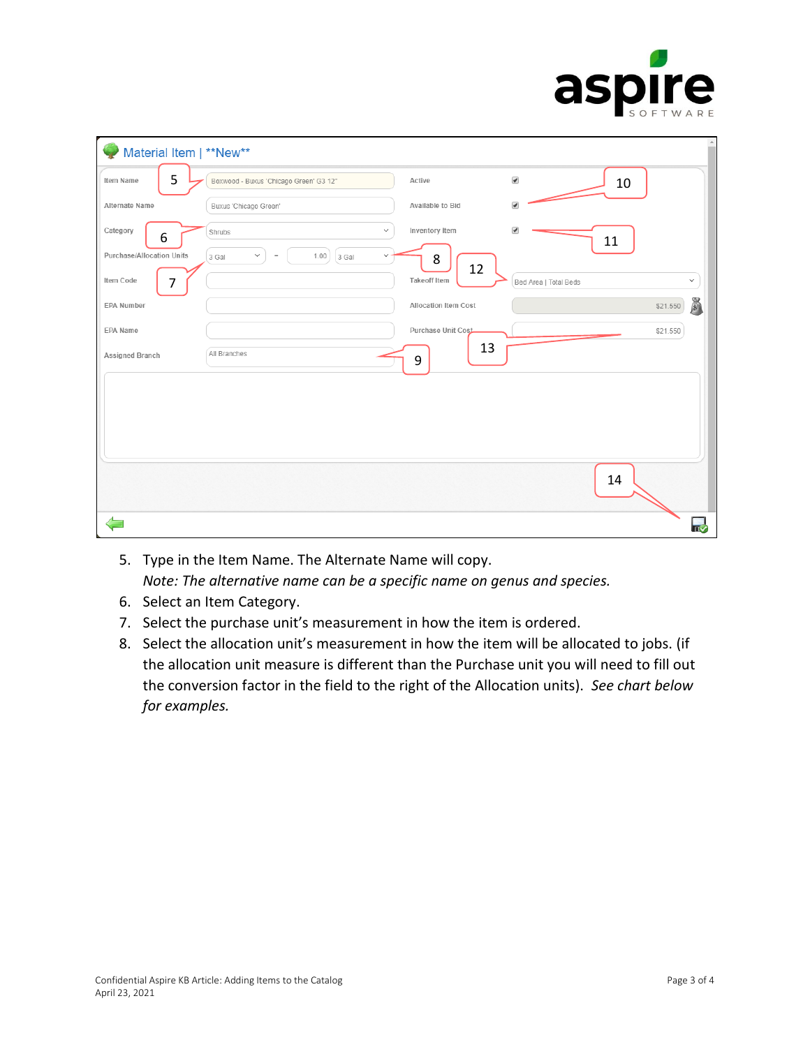

| Material Item   **New**   |                                                                   |                          |                          | $\triangle$   |
|---------------------------|-------------------------------------------------------------------|--------------------------|--------------------------|---------------|
| 5<br>Item Name            | Boxwood - Buxus 'Chicago Green' G3 12"                            | Active                   | $\blacktriangledown$     | 10            |
| Alternate Name            | Buxus 'Chicago Green'                                             | Available to Bid         | $\overline{\mathcal{C}}$ |               |
| Category<br>6             | $\checkmark$<br>Shrubs                                            | Inventory Item           | $\overline{\mathcal{C}}$ | 11            |
| Purchase/Allocation Units | $\checkmark$<br>1.00<br>3 Gal<br>3 Gal<br>$\,=\,$<br>$\checkmark$ | 8<br>12                  |                          |               |
| Item Code<br>7            |                                                                   | <b>Takeoff Item</b>      | Bed Area   Total Beds    | $\checkmark$  |
| <b>EPA Number</b>         |                                                                   | Allocation Item Cost     |                          | S<br>\$21.550 |
| EPA Name                  |                                                                   | Purchase Unit Cost<br>13 |                          | \$21.550      |
| Assigned Branch           | All Branches                                                      | 9                        |                          |               |
|                           |                                                                   |                          |                          |               |
|                           |                                                                   |                          |                          |               |
|                           |                                                                   |                          |                          |               |
|                           |                                                                   |                          |                          | 14            |
|                           |                                                                   |                          |                          |               |
|                           |                                                                   |                          |                          | π⊽            |

- 5. Type in the Item Name. The Alternate Name will copy. *Note: The alternative name can be a specific name on genus and species.*
- 6. Select an Item Category.
- 7. Select the purchase unit's measurement in how the item is ordered.
- 8. Select the allocation unit's measurement in how the item will be allocated to jobs. (if the allocation unit measure is different than the Purchase unit you will need to fill out the conversion factor in the field to the right of the Allocation units). *See chart below for examples.*